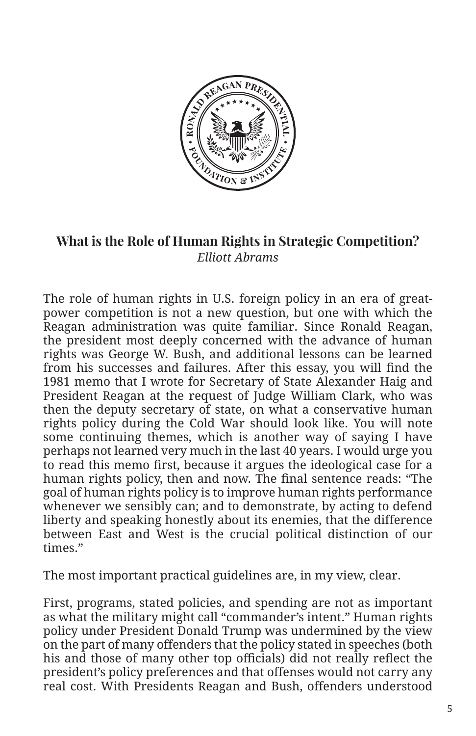

# **What is the Role of Human Rights in Strategic Competition?** *Elliott Abrams*

The role of human rights in U.S. foreign policy in an era of greatpower competition is not a new question, but one with which the Reagan administration was quite familiar. Since Ronald Reagan, the president most deeply concerned with the advance of human rights was George W. Bush, and additional lessons can be learned from his successes and failures. After this essay, you will find the 1981 memo that I wrote for Secretary of State Alexander Haig and President Reagan at the request of Judge William Clark, who was then the deputy secretary of state, on what a conservative human rights policy during the Cold War should look like. You will note some continuing themes, which is another way of saying I have perhaps not learned very much in the last 40 years. I would urge you to read this memo first, because it argues the ideological case for a human rights policy, then and now. The final sentence reads: "The goal of human rights policy is to improve human rights performance whenever we sensibly can; and to demonstrate, by acting to defend liberty and speaking honestly about its enemies, that the difference between East and West is the crucial political distinction of our times."

The most important practical guidelines are, in my view, clear.

First, programs, stated policies, and spending are not as important as what the military might call "commander's intent." Human rights policy under President Donald Trump was undermined by the view on the part of many offenders that the policy stated in speeches (both his and those of many other top officials) did not really reflect the president's policy preferences and that offenses would not carry any real cost. With Presidents Reagan and Bush, offenders understood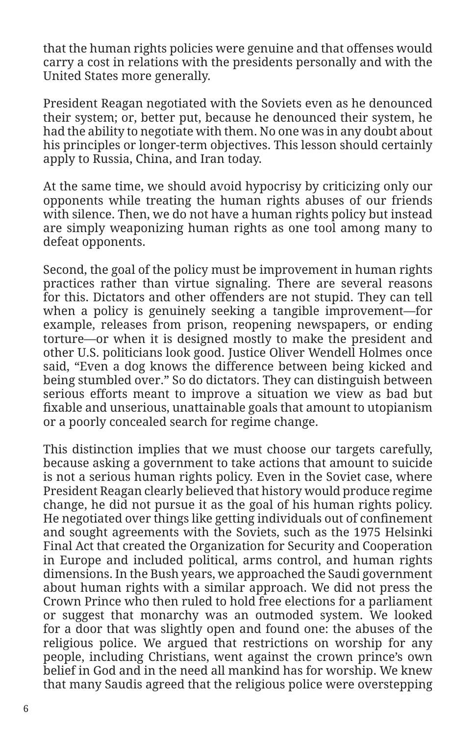that the human rights policies were genuine and that offenses would carry a cost in relations with the presidents personally and with the United States more generally.

President Reagan negotiated with the Soviets even as he denounced their system; or, better put, because he denounced their system, he had the ability to negotiate with them. No one was in any doubt about his principles or longer-term objectives. This lesson should certainly apply to Russia, China, and Iran today.

At the same time, we should avoid hypocrisy by criticizing only our opponents while treating the human rights abuses of our friends with silence. Then, we do not have a human rights policy but instead are simply weaponizing human rights as one tool among many to defeat opponents.

Second, the goal of the policy must be improvement in human rights practices rather than virtue signaling. There are several reasons for this. Dictators and other offenders are not stupid. They can tell when a policy is genuinely seeking a tangible improvement—for example, releases from prison, reopening newspapers, or ending torture—or when it is designed mostly to make the president and other U.S. politicians look good. Justice Oliver Wendell Holmes once said, "Even a dog knows the difference between being kicked and being stumbled over." So do dictators. They can distinguish between serious efforts meant to improve a situation we view as bad but fixable and unserious, unattainable goals that amount to utopianism or a poorly concealed search for regime change.

This distinction implies that we must choose our targets carefully, because asking a government to take actions that amount to suicide is not a serious human rights policy. Even in the Soviet case, where President Reagan clearly believed that history would produce regime change, he did not pursue it as the goal of his human rights policy. He negotiated over things like getting individuals out of confinement and sought agreements with the Soviets, such as the 1975 Helsinki Final Act that created the Organization for Security and Cooperation in Europe and included political, arms control, and human rights dimensions. In the Bush years, we approached the Saudi government about human rights with a similar approach. We did not press the Crown Prince who then ruled to hold free elections for a parliament or suggest that monarchy was an outmoded system. We looked for a door that was slightly open and found one: the abuses of the religious police. We argued that restrictions on worship for any people, including Christians, went against the crown prince's own belief in God and in the need all mankind has for worship. We knew that many Saudis agreed that the religious police were overstepping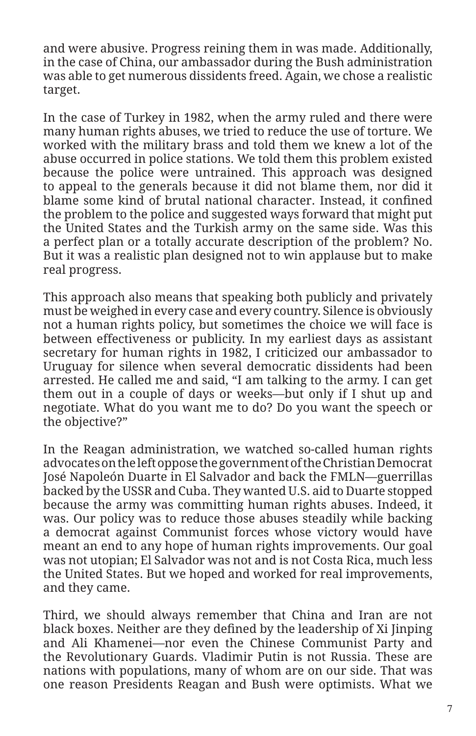and were abusive. Progress reining them in was made. Additionally, in the case of China, our ambassador during the Bush administration was able to get numerous dissidents freed. Again, we chose a realistic target.

In the case of Turkey in 1982, when the army ruled and there were many human rights abuses, we tried to reduce the use of torture. We worked with the military brass and told them we knew a lot of the abuse occurred in police stations. We told them this problem existed because the police were untrained. This approach was designed to appeal to the generals because it did not blame them, nor did it blame some kind of brutal national character. Instead, it confined the problem to the police and suggested ways forward that might put the United States and the Turkish army on the same side. Was this a perfect plan or a totally accurate description of the problem? No. But it was a realistic plan designed not to win applause but to make real progress.

This approach also means that speaking both publicly and privately must be weighed in every case and every country. Silence is obviously not a human rights policy, but sometimes the choice we will face is between effectiveness or publicity. In my earliest days as assistant secretary for human rights in 1982, I criticized our ambassador to Uruguay for silence when several democratic dissidents had been arrested. He called me and said, "I am talking to the army. I can get them out in a couple of days or weeks—but only if I shut up and negotiate. What do you want me to do? Do you want the speech or the objective?"

In the Reagan administration, we watched so-called human rights advocates on the left oppose the government of the Christian Democrat José Napoleón Duarte in El Salvador and back the FMLN—guerrillas backed by the USSR and Cuba. They wanted U.S. aid to Duarte stopped because the army was committing human rights abuses. Indeed, it was. Our policy was to reduce those abuses steadily while backing a democrat against Communist forces whose victory would have meant an end to any hope of human rights improvements. Our goal was not utopian; El Salvador was not and is not Costa Rica, much less the United States. But we hoped and worked for real improvements, and they came.

Third, we should always remember that China and Iran are not black boxes. Neither are they defined by the leadership of Xi Jinping and Ali Khamenei—nor even the Chinese Communist Party and the Revolutionary Guards. Vladimir Putin is not Russia. These are nations with populations, many of whom are on our side. That was one reason Presidents Reagan and Bush were optimists. What we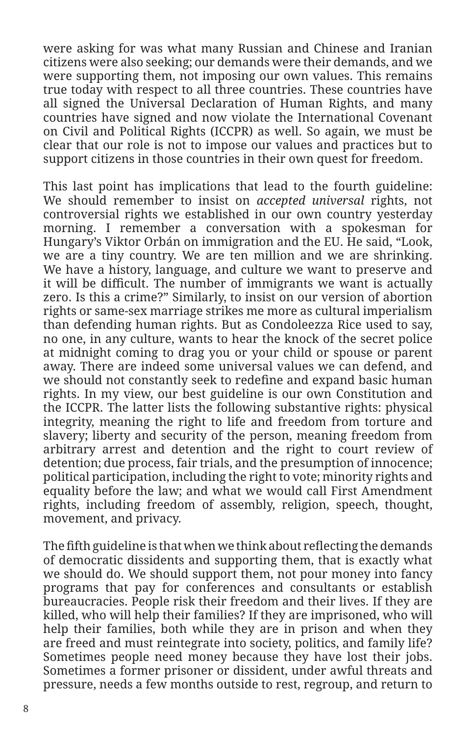were asking for was what many Russian and Chinese and Iranian citizens were also seeking; our demands were their demands, and we were supporting them, not imposing our own values. This remains true today with respect to all three countries. These countries have all signed the Universal Declaration of Human Rights, and many countries have signed and now violate the International Covenant on Civil and Political Rights (ICCPR) as well. So again, we must be clear that our role is not to impose our values and practices but to support citizens in those countries in their own quest for freedom.

This last point has implications that lead to the fourth guideline: We should remember to insist on *accepted universal* rights, not controversial rights we established in our own country yesterday morning. I remember a conversation with a spokesman for Hungary's Viktor Orbán on immigration and the EU. He said, "Look, we are a tiny country. We are ten million and we are shrinking. We have a history, language, and culture we want to preserve and it will be difficult. The number of immigrants we want is actually zero. Is this a crime?" Similarly, to insist on our version of abortion rights or same-sex marriage strikes me more as cultural imperialism than defending human rights. But as Condoleezza Rice used to say, no one, in any culture, wants to hear the knock of the secret police at midnight coming to drag you or your child or spouse or parent away. There are indeed some universal values we can defend, and we should not constantly seek to redefine and expand basic human rights. In my view, our best guideline is our own Constitution and the ICCPR. The latter lists the following substantive rights: physical integrity, meaning the right to life and freedom from torture and slavery; liberty and security of the person, meaning freedom from arbitrary arrest and detention and the right to court review of detention; due process, fair trials, and the presumption of innocence; political participation, including the right to vote; minority rights and equality before the law; and what we would call First Amendment rights, including freedom of assembly, religion, speech, thought, movement, and privacy.

The fifth guideline is that when we think about reflecting the demands of democratic dissidents and supporting them, that is exactly what we should do. We should support them, not pour money into fancy programs that pay for conferences and consultants or establish bureaucracies. People risk their freedom and their lives. If they are killed, who will help their families? If they are imprisoned, who will help their families, both while they are in prison and when they are freed and must reintegrate into society, politics, and family life? Sometimes people need money because they have lost their jobs. Sometimes a former prisoner or dissident, under awful threats and pressure, needs a few months outside to rest, regroup, and return to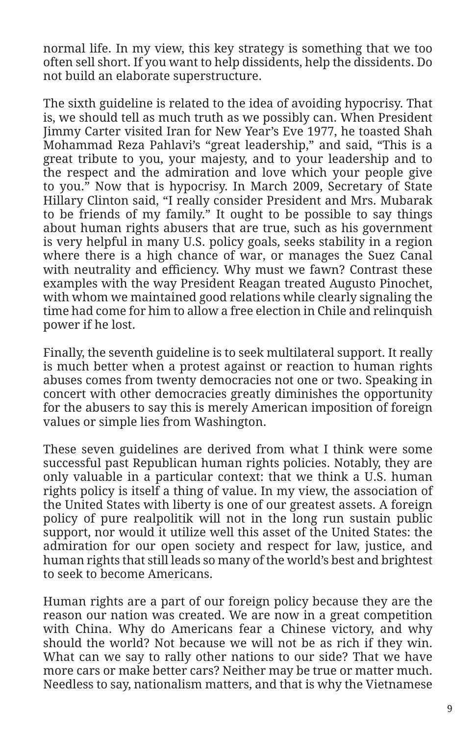normal life. In my view, this key strategy is something that we too often sell short. If you want to help dissidents, help the dissidents. Do not build an elaborate superstructure.

The sixth guideline is related to the idea of avoiding hypocrisy. That is, we should tell as much truth as we possibly can. When President Jimmy Carter visited Iran for New Year's Eve 1977, he toasted Shah Mohammad Reza Pahlavi's "great leadership," and said, "This is a great tribute to you, your majesty, and to your leadership and to the respect and the admiration and love which your people give to you." Now that is hypocrisy. In March 2009, Secretary of State Hillary Clinton said, "I really consider President and Mrs. Mubarak to be friends of my family." It ought to be possible to say things about human rights abusers that are true, such as his government is very helpful in many U.S. policy goals, seeks stability in a region where there is a high chance of war, or manages the Suez Canal with neutrality and efficiency. Why must we fawn? Contrast these examples with the way President Reagan treated Augusto Pinochet, with whom we maintained good relations while clearly signaling the time had come for him to allow a free election in Chile and relinquish power if he lost.

Finally, the seventh guideline is to seek multilateral support. It really is much better when a protest against or reaction to human rights abuses comes from twenty democracies not one or two. Speaking in concert with other democracies greatly diminishes the opportunity for the abusers to say this is merely American imposition of foreign values or simple lies from Washington.

These seven guidelines are derived from what I think were some successful past Republican human rights policies. Notably, they are only valuable in a particular context: that we think a U.S. human rights policy is itself a thing of value. In my view, the association of the United States with liberty is one of our greatest assets. A foreign policy of pure realpolitik will not in the long run sustain public support, nor would it utilize well this asset of the United States: the admiration for our open society and respect for law, justice, and human rights that still leads so many of the world's best and brightest to seek to become Americans.

Human rights are a part of our foreign policy because they are the reason our nation was created. We are now in a great competition with China. Why do Americans fear a Chinese victory, and why should the world? Not because we will not be as rich if they win. What can we say to rally other nations to our side? That we have more cars or make better cars? Neither may be true or matter much. Needless to say, nationalism matters, and that is why the Vietnamese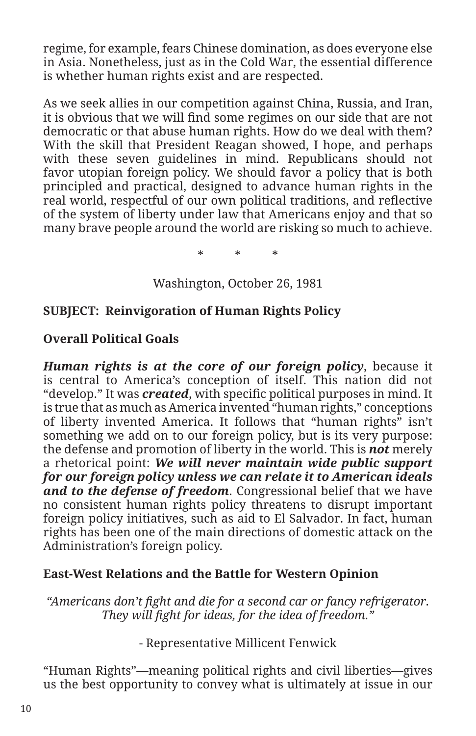regime, for example, fears Chinese domination, as does everyone else in Asia. Nonetheless, just as in the Cold War, the essential difference is whether human rights exist and are respected.

As we seek allies in our competition against China, Russia, and Iran, it is obvious that we will find some regimes on our side that are not democratic or that abuse human rights. How do we deal with them? With the skill that President Reagan showed, I hope, and perhaps with these seven guidelines in mind. Republicans should not favor utopian foreign policy. We should favor a policy that is both principled and practical, designed to advance human rights in the real world, respectful of our own political traditions, and reflective of the system of liberty under law that Americans enjoy and that so many brave people around the world are risking so much to achieve.

\* \* \*

Washington, October 26, 1981

### **SUBJECT: Reinvigoration of Human Rights Policy**

### **Overall Political Goals**

*Human rights is at the core of our foreign policy*, because it is central to America's conception of itself. This nation did not "develop." It was *created*, with specific political purposes in mind. It is true that as much as America invented "human rights," conceptions of liberty invented America. It follows that "human rights" isn't something we add on to our foreign policy, but is its very purpose: the defense and promotion of liberty in the world. This is *not* merely a rhetorical point: *We will never maintain wide public support for our foreign policy unless we can relate it to American ideals and to the defense of freedom*. Congressional belief that we have no consistent human rights policy threatens to disrupt important foreign policy initiatives, such as aid to El Salvador. In fact, human rights has been one of the main directions of domestic attack on the Administration's foreign policy.

#### **East-West Relations and the Battle for Western Opinion**

*"Americans don't fight and die for a second car or fancy refrigerator. They will fight for ideas, for the idea of freedom."* 

- Representative Millicent Fenwick

"Human Rights"—meaning political rights and civil liberties—gives us the best opportunity to convey what is ultimately at issue in our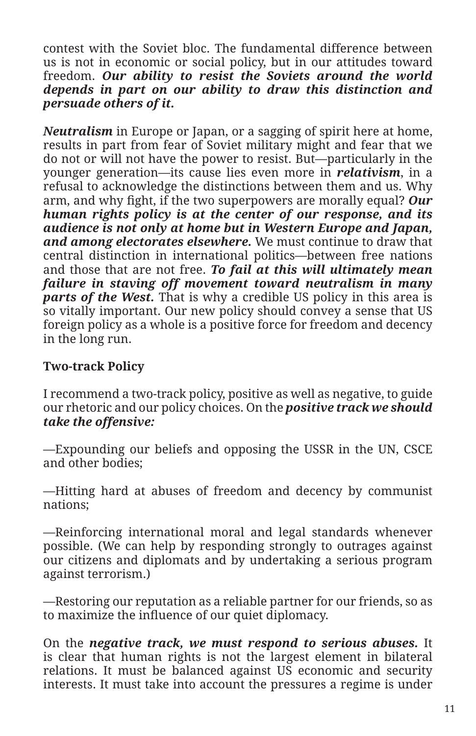contest with the Soviet bloc. The fundamental difference between us is not in economic or social policy, but in our attitudes toward freedom. *Our ability to resist the Soviets around the world depends in part on our ability to draw this distinction and persuade others of it.*

*Neutralism* in Europe or Japan, or a sagging of spirit here at home, results in part from fear of Soviet military might and fear that we do not or will not have the power to resist. But—particularly in the younger generation—its cause lies even more in *relativism*, in a refusal to acknowledge the distinctions between them and us. Why arm, and why fight, if the two superpowers are morally equal? *Our human rights policy is at the center of our response, and its audience is not only at home but in Western Europe and Japan, and among electorates elsewhere.* We must continue to draw that central distinction in international politics—between free nations and those that are not free. *To fail at this will ultimately mean failure in staving off movement toward neutralism in many parts of the West.* That is why a credible US policy in this area is so vitally important. Our new policy should convey a sense that US foreign policy as a whole is a positive force for freedom and decency in the long run.

## **Two-track Policy**

I recommend a two-track policy, positive as well as negative, to guide our rhetoric and our policy choices. On the *positive track we should take the offensive:*

—Expounding our beliefs and opposing the USSR in the UN, CSCE and other bodies;

—Hitting hard at abuses of freedom and decency by communist nations;

—Reinforcing international moral and legal standards whenever possible. (We can help by responding strongly to outrages against our citizens and diplomats and by undertaking a serious program against terrorism.)

—Restoring our reputation as a reliable partner for our friends, so as to maximize the influence of our quiet diplomacy.

On the *negative track, we must respond to serious abuses.* It is clear that human rights is not the largest element in bilateral relations. It must be balanced against US economic and security interests. It must take into account the pressures a regime is under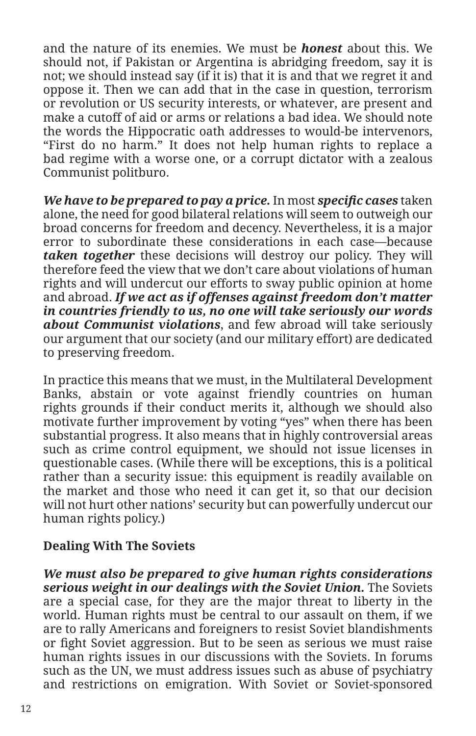and the nature of its enemies. We must be *honest* about this. We should not, if Pakistan or Argentina is abridging freedom, say it is not; we should instead say (if it is) that it is and that we regret it and oppose it. Then we can add that in the case in question, terrorism or revolution or US security interests, or whatever, are present and make a cutoff of aid or arms or relations a bad idea. We should note the words the Hippocratic oath addresses to would-be intervenors, "First do no harm." It does not help human rights to replace a bad regime with a worse one, or a corrupt dictator with a zealous Communist politburo.

*We have to be prepared to pay a price.* In most *specific cases* taken alone, the need for good bilateral relations will seem to outweigh our broad concerns for freedom and decency. Nevertheless, it is a major error to subordinate these considerations in each case—because *taken together* these decisions will destroy our policy. They will therefore feed the view that we don't care about violations of human rights and will undercut our efforts to sway public opinion at home and abroad. *If we act as if offenses against freedom don't matter in countries friendly to us, no one will take seriously our words about Communist violations*, and few abroad will take seriously our argument that our society (and our military effort) are dedicated to preserving freedom.

In practice this means that we must, in the Multilateral Development Banks, abstain or vote against friendly countries on human rights grounds if their conduct merits it, although we should also motivate further improvement by voting "yes" when there has been substantial progress. It also means that in highly controversial areas such as crime control equipment, we should not issue licenses in questionable cases. (While there will be exceptions, this is a political rather than a security issue: this equipment is readily available on the market and those who need it can get it, so that our decision will not hurt other nations' security but can powerfully undercut our human rights policy.)

## **Dealing With The Soviets**

*We must also be prepared to give human rights considerations serious weight in our dealings with the Soviet Union.* The Soviets are a special case, for they are the major threat to liberty in the world. Human rights must be central to our assault on them, if we are to rally Americans and foreigners to resist Soviet blandishments or fight Soviet aggression. But to be seen as serious we must raise human rights issues in our discussions with the Soviets. In forums such as the UN, we must address issues such as abuse of psychiatry and restrictions on emigration. With Soviet or Soviet-sponsored